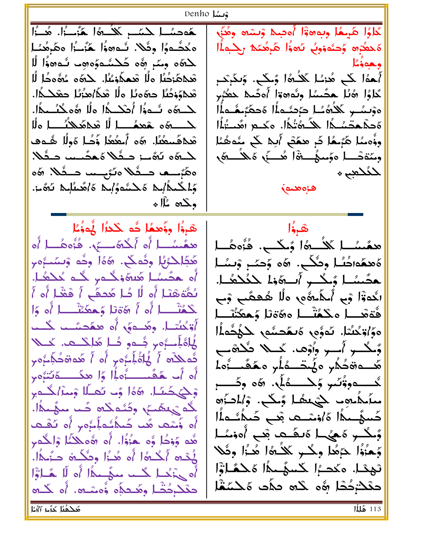ۋىسگە Denho هَوْدِسُهِ لَكُنَّهِ بِكُلِّيهِ الْمُؤْتِينُ الْمُؤْتَّرِينَ الْمُحَمَّرَةِ الْمُحَمَّرَةِ الْمُحَمَّرَةَ ا كَاوُا هَيِيعًا وبِمِهَوْا أُمْضِكَ وَبِيْتُهِ ۖ وَهُذَبِ ەكْشُەوُا وِثْلا. ئَـەھۈُا ھَّزْسُرُا ەھَرِھُنَـا هَ دهُرُه وَحَدُوْوِبُ لَهُوْاً هَرِهُدَا } رِكِيماًا لْحَمَّةَ مِنْهِ بِثَقَ كَحَسَّمَوُهُ مِنْ شَوْءَا لَٰلَّا وحمؤثار مْحِكْرَحُنُا ولًا مْحِكْوَنْنُا. حَكَمَ نُعُوجًا لُل أَههُا كُلِّ هُزْسًا كَلاُهُا وُحكِّ. وُتكَبِّد هْدْوُوْضُا حِيَّەمُا مال هْدَاهزُىل حَعْدَدًا. كَاوُا هُلًا هصَّىْنَا وِتُوهوَا أُوصَّى حَقَّبُر لِهُ مَنْ الْمَحْلُمُ الْمَالِمُ اللَّهُ مَكْسُمُا. ەۋىسُى كَلاُهُمُا دَرْحِمْداْ ەَحصَّىشْداْلْ لكمسرةه هعه الملا معاهَدتُك ا كَحِكْتَمَنْتُمَا لِكُنْمَانُ مَكْتُمَا الْمُحَسَّرَةُ مْحِافَسِعْنَا. ۞ه أَبعُعُا ذُكُل هَولًا هُــهِڡ وِؤْمِنُا هَٰٓبَـٰهَا کَرِ هِمَّتَی اُلِہٗ کَی مُّوَهُنَا لْحَدِثَهِ، تَشَيْدِ حَثَّلًا هُمصَّىب حَثَّلًا. ومَتَوْصًـــا وَوُسِمُـــِتْوَا هُــــَنِ وَاللَّـــْ وَي ەھبُمىگ كىشىلا ەتبُىسىس كىشلا. 5ە حدُكمبي \* وَلِمُسْلَمُلِهِ مَكْسُورُلِهِ هَاهُمْلُلِهِ تَمَّن: فزمعته ولاده يثلاثه هْبِؤُا وِؤُهِمُا ثُم كَحْرًا يُوؤُعُا ۿڔۏؙٳ همَسُـــا أَه أَحْدَهَــــــّ. فُنُوهُـــا أَو همَّسُـــا كَلَـــهُا وُلَـــب. فُنُوهُـــا هَٰذَاكَہُ ۖ وَثَمَكُمْ. 50\$ وَثُم وْسَمْـرُومِ ەَھمَّەرْضُل وِثُكُــدٍ. ۞ وَحَسَّـرٍ وَبِسُــل أَه هَشَسًا هَٰللهَٰٓوَلَكُمْ لَكُمْ يُلْحَظُّاً. ﻤﺤّﯩﺴًـﻠ ﻭُﻨﮕــﻮ *ﺃْﺳ*ﻮَّﻓﻠ ﻜﯩﻜﻜﯩﻠ. نُهَّة هَنَا أُو لُا حُل مُحفَّى أَ فَعْنَا أُو أَ ائُدَوْٓا وْبِ ٱمْذُهُورِ ولَا هُعْفَبِ وْبِ كَمُتْــــا أَه أَ هَٰٓةَتَا وَحِكَتْـــا أَه وَا فُتفْسا مكْمُتْــا مِهَوْنَا وَحِعَتْنَـــا أَوْكُنُنَا. وهُــوَىٰ أَو مِعْجِبًنــا لَكَــا ەؤ/قىنقا. ئەۋەر ەتقچىقەر كۇڭماًا هُاةَ أَسِرُه و شَدو صُل هَا كَلْمُسْتَ حَمْلًا وُیكْسِرٍ أُسِيرٍ واُوْھا. كَسْلا صُّلَاةَسِي ثَمِلِلُه أَ يُاتَٰبَأُ بِمِنْ أَه أَ هُمَ قَحُكُمِ وَمِن هَــــەقەدُگُر ەڭمىقىلُر ەھَقَــــزُە أَه أَبِ هَقَيْـَــــزُّهِ أَلَ وَا هَذَـــــوَتَتَرُهُم گَــــوۋُنَــو وُكَـــــوُلُمْ. ۞ه وكَـــــو وْݣَىكْسًا. ھَوْا وَ يَعْطَا وْسْلَامْيْمْ مِنْكُمُومِ لِكَيْمَتِهَا وُلِكُمْ. وْالْمَنَوْهِ لَّٰهُ يَبْصَّىُ وَدُّدْهُ دَّةٍ مَيْمَمُّاً. كُسمُّــماً أَهُ وَمْـــت بْعَـــ كُماكُـــماً ا أُه وَّعْمَد هُــا كَــدُّـتُـم}ًبرَّهم أَه تَـفْـت وُبكْسِ هَجْهَا هُبصَّـم بْمَع أُهوَمُـا هُد وُدْحًا وُه هزُوًّا. أَه هُملَكًا وَاحْدَمِ وَحَزُوْا حَرَمُوا وِحْبِ ݣَلْدُهُ! مُحَبًّا وظَّلَا يُدَه أَحْدَهُ! أَه هُـُ;! وِصُكَّة حِنَّماً!. تَهِدًا. مَكْحَزًا كَسَهُما مَكْمَارَّا أَوْ حِبْرُكُمْ كُنْتُ مِنْكُمْ مِنْ أَوْ لَا جُمْأَرْا حنْثَ دُحْل هُ٥ گُده حِكْت هُڪِمَنْهُل حَفَّلِكُتْمَا وِهُـعِدٍّه وُهِـتُـره. أَه كُـره مَحْدُمُا حَرَّىرِ ٱلْمَا  $\frac{1}{2}$  فَالْمَا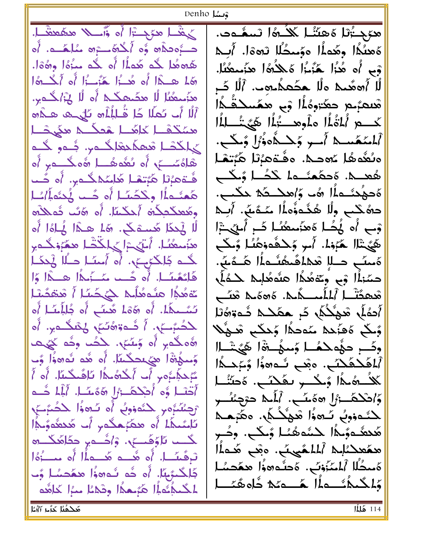Denho فلسكا حَيْثُه الصَّحِبُّ أَو ذَابٍ مَعْ السَّمَاءِ السَّمَاءِ. ھۆجىُّ قاھقتُا كَلاُ ھا تىگەت. مەئەملاھ ۋە أىڭگەسىرھ مالگىم. اُە هُهْدُمُّا وِهُداْا هوَمحْلًا نْ186. أَبِير هَده هُل كُم هُدارُ أو كُم سِزْهُ! وَهُوَا. وْمِ أَهِ هُذَا هَٰٓئُمَٰٓ وَمَلاَّدُهُا هِنَمحَعُّلُا. هَا هِـدًا أَه هُـزُا هَزْـزُا أَه أَكْـرَهُ| لَّا أَهمَّدِهِ وَلَّا هجَّههُ مِن. أَلَّا كَ هزَمعَتُنَا لَا هضَهكُمْ أَه لَا جَزَاجَكُمْ. هَتَمَّ مِنْ حَجَّةٍ وَمَالًا فِي مَعَصَدَقُـدًا ٱلْل آُب تَعلَلا جَلَّ قُبِلِلُهُ مَلْيَ هِ هُوَ وَ كَــــثَرِثُهُ الْمُؤْمَّرُ مِنْ الْمُؤْلَمُ مَسَنَّرُ الْمُؤْلَمُ مُسَلَّمًا مسَنَّدْهُـــا كَامًدــا هُمكَـــد مكَيحْــا ٱلمُتَمَّسَـدُ ٱسو وَحَـدُهُۥوُّرُلِ وَّحَـبٍ. حَالِكَتْمَا مْعَكَمْحَمْلَكُمْ. بُدُو كُد ەئغُەھُل مُەھىل. ەقْتەھرُنْل ھَرُتھَل هْلُمُصْــــَىٰ أَو تُعْدِمُـــا رُوَمِكْـــوبِر أَو هُعله. هُحكَمنُـها حُكُلّ وُلَكَـــ فَـٰقَعَزْنَا هَٰٓبَتَمَـا هَٰاِسًا گُـهِر. أَه حَـُـب ەُدېمُحشَــەلُمْ ا ھُ۔ وَ/ھــــدَى حكـــو. هَمْسُماْلِ وِحْكُمِّلِ أَو حُسب لَجُدْهِ إِلَيْهِ دەُكْب وِلَا ھُڏُدۇْەلُا سَكَسَّ. أَبِي وهُعكَـعِكْمَ أَحكَـمَا. أَه هَبُ خُمكَتُه لًا هُحكًا هُستَمَكَ. هَا هِـدًا هُـاهُ! أُه وْبِ أَهِ لِمُصَاةَ هَذَىعْقُلًا ضَرِ أَمِنَ ۖ أَيْ هَيُنْاا هَزَوْءَ. أُسِ وَكَـفُووْهُـُـا وَكَـٰ هزَسعُنُا. أَسْرَحِ إِحِرَاجَ الْمَرْوَيْكُمْ، كُـه جَاكَيْبَ. أَه أَسنَـا حـلًا هُكَـلًا هُمنّب حــلا هُـدْلقُــهُـلَــه لَما هُــمَّـنَ. فَائْعُنَــا. أَو كَــب سَــزَبِّدُا هِــدَا وَا حسَّناً أَبِ وتَفَعُدُا هِنُوهُا هَـ مَكَـٰهَـ تَعَمَّدُا هِنُومُلَّكَ حَيْضَنَّا أَ مَتَعَضَّلَـا مْعِقَتْـا ٱلمْلَمـــدُمْ. هَ‰ما مْبَــ تَسَّــداً. أَه هَءَ1 هُنبٌ أَه جُلاِّنبًا أَه أَحمُلًا شَوْثُكًا مَ حصَّلُه شُمَّوَةٌ لْكُتُبِّتِكِ. أَ شُـەۋە*ئىنَ*ى لِكَنگـەپ. أە وُلِّي هَفَىٰدا سُمحدًّا وُلكَّى شَـوُلا رُهُ مَكُمْ إِنَّ أَوْ يَنْتَبُ. لِلنُّفَ وَشَّهْ كَيُمْكَ وكُبِ حَذْهَكُمُ أَوْسِيُدِيْنَ أَصْحَبَتِيْ الْمَحْبَيْنَ الْمُحَمَّدَ وَسَوْرَةً أَ مَنْ بِمَكْتِبًا. أَو هُو نُووهواً وَب ٱلمَكْحُكْبُ. هِبْمِي شَـهِوواْ وَجَحِــٰهَا ـُـُمْـٰدِكُمِـرُومِ أَب أَبْحُـٰدُهُ ـٰهِ أَ لَـٰهُـُمَـنَّكُـٰدَا. أَو أَ كَلُّــدُمَدًا وُلِكْـــرِ ىفَكْتَــحٍ. هَصَتُــا أَحْسًا وُه أُصْلَحُكُ وَالْمَمْسًا. أَبْلَا شُــه وَاتْكَتَمْسْرُوْلِ 20مَتَبِ. أَلَمْكُمْ حَوْجِئْتُسِ رْجِئْنُبُومِ لِلنُووْوِبُ أَو نُـْ10وَّا لِلْحُبُّبَ َكْتُـُدووبُ نَـُددُوْۢا شَوْكُـكُمْ. هَثَرَهـكُمْ تَلْسُمُلَا أَو مِحَبَّمِكُورِ أَبِ مَحْمَوْهِ الْمَ هَٰدهٗـءوٖۡـدٗا ڂٮۢنۡـہھُـُـا وُٓـكے. وِحُــب ڭب ئاۋقىسى، ۋاقىم چڭاھگىدە هفعلائلها ألملقيها. مثل مُسائله تَرِقَّعَيْـا. أَو هُـــو هُـــواْ! أَو مِـــزُوْ! ەُمحَٰلًا ٱلۡمَنۡوَٰفَۖ. ەۡحشَاھوُا ھڪَصنُـا جَالْكُتُوَيِّا. أَو خُو نُبُورُوْا مِعْجَسًا وُب لمكتجُدُوا هَزَيْمِدًا وَشَمْدًا سَرًا خَلَقُتْ مَحْدُمُا حَرَّىرِ ٱلْمَا  $\frac{1}{2}$  فَالْمَا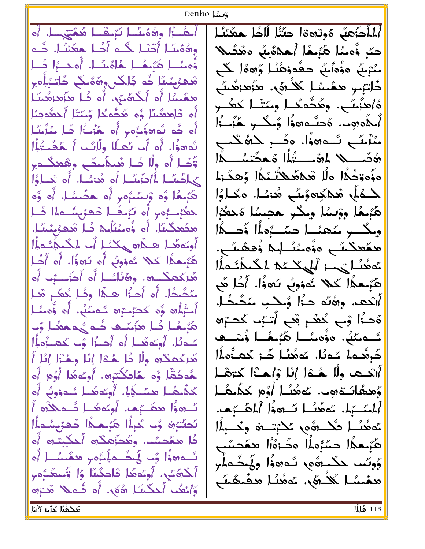Denho فلسكا أَحكُ أو وهُدَّمَـٰ لَّدَّمِـدًا هَجَّتِيَـا. أَه ٱلملَاحَ وَمَعَهُمْ وَدْوَاهُمْ الْمَسْلَمَا لَاحًا حَقَّفُنَا ۖ ورَهُمَنَا أَحْسَا كُم أَحُا حَقَيْنَا. حُم حَبِّرٍ وُّەممُا هَبُمُّا أَهْلَاڤِيَّ هِ مُحَمَّىلا ذُّەممُــا هَبُـمُــا ـمُاهُـنَــا. أُوجـــُرا كُــا مُبْتِمٌ دَوْدَنَّمَ حَقْدَوْهُمُا وَ30\$ كُلِّ ەدەئەئىدا ئە ئالگىروھۇيگى ئاتۇلمەير كَاتَبْسٍ همُسُلٍّ كَلَّىُ». هنَهنوَهُبَّ همَّسُلُ أَه أَلْحُوَّمَ، أَه صُلَّ هزَهزوَهُمَا هُ/هزَّمَبٍ. وهُدُّهمُكُ ومَنْتُمْ كَعُصُب أَه قَامِعُتُمَّا وُه مَّحْدَكَا وَعَتْلَ أَحْمَّدَتِمَّا أَبْدُوهِب. وَجِنُبُوهِ وُا وُبِكْسِ هَٰٓزُسَٰٓرًا أَه هُه نُهوَهُ وُمِن أَه هُنُدًا مُا مُنْكَل مُلْكَب ثَـــه%. وضُـــ لِلْمُكْــب نُهِ وَذًا. أَو أَبِ نَعْطًا وِلَٰائُب أَ هَٰقُتُوَا ا الْمَسْمِيلا لِمَاتَّةُ الْمُعْصَّنْدُ الْمُعَامَّةُ وَّصْل أَه ولًا ضُل مَّىمًىكَے وِتْقَعَكُــْمَبِر وَوَوَدُمُّا وَلَا مَدْهَدُتُنْدُمَّا وَهَدَّنْ جَاحَتَـا لَمَادَّتَـا أَو هُـْـا. أَو عَـاوُا هَّبُـِعًا وَّه وْنِسَبُومِ أَه حَصَّسًا. أَه وَّه لْكُمُلُ شَكْدُووُنَّى هُٰذَ*ـٰ*ا. مَكْـاوُا حفَّرَــرُهرِ أَه تَبْـفُـا دْهرَّىشْـهاا دُـا هَّبُـمُّا ووْنَسُا وَنَكْبُ هَجَنسًا هَجْعُدًا مكَمكَسَا. أَه ذُهسُلَلُـمْ شَا مُدْمَنِهُسَا. وبكسو منعنا حسَّوْهاً أوُحساً أُوسَهُ مَثَلًا هِـذَا أَبِ لِمَكْتُمْ أَسْتَمَا أَبْدَأَ مِنْ الْمَحْدَمِينَ الْمَرْكَبَ ھكَعلامَـُـــ وؤُوسُنُــالِـــا وُقصَّىــًـــ). هَٰزُهِهَا كَلا شَوْوِبُ أَو نَووْا. أَو أَهْل الْمَشْلُمُكُمْ مُحْكَمِلاً مِنْ لَنْمُعْ هُدِكُمِكْمِنْ، وهَنْاسُمْ أَنْ أَجَزَسَتَ أَنْ كَبُسْمَاْ كَلا غُووبُ نَهوُوا. أَكَا هَي مَكَمَدًا. أَو أَدَٰ;ًا هـذًا ودًا يُعَذِّ قَدا أَآتَك. وهُنَّه حزًّا وُعلبِ مَكْتُحًا. أَخْزَلُه وَّه كَحَرَجَهُ شَمِيْكُ. أَه وُمِيْتًا ەَھەُ : وَبِ كُشَرِ بْمَي أَسْرَى كَحِبْرَه كَبُنْهَا كُنْ مِتّْبَعْثُ كَنْ مُحْمَدًا وَّبْ شَـٰڡمَّٰفُ. ٯۏ۫ۛٯٮۢٮـا ۿۜڹؚۘٮڡؙـا ۏؙٮۛؽــڡ سَّمِنًا. أُوسِّهَ هَــا أُه أَهــزًا وَّبِ لَحَمَـزُهِ إِلَ كُرهُـه لـ حَملُه حَمهُـٰل كَـٰز حَمـزُه لَهُـٰل هَرِكِمِكُمْ وَلَا دًا هُـدَا إِنَّا وَهُــْزَا إِنَّا أَ أَلْكِتَ وِلَا هُــْهَ! إِنَّا وْإِحْـَٰٓا كَتِرْهَـٰا هُوَجَعْلَ وُهِ هَاجَكْتِرْ». أُوجَوهَا أَوُم أَه كَذَّبَهُــا مِنْتَــكَلِّهِ. أَوَجَّمَعُــا شَــمووبُ أَه ۇھھُائىةھە. ئەھُنُىل اُؤم كَكَىھُىل ئَــِرْهُ وَا مِدْجَمٍ. أُوسُوهُــا فُــوهِلْرُو أَ أَلْمَسْهَلْ. مُوهُنُسا نَسْرُودُا أَلْمَصَّهُمْ. تَحتَنَزَهَ وَ حَدِمًا هَزَىهِهَا دَعْوَيِشُمَاً كَمَعْنُــا هُــــوُّە كَــْتِـــوْ وكُـــراُا دًا معَصِّيد. ومَجْرَهكُم أَحكيتُم أَه هَّبُــِهِـدًا حَسَّرُهِ أَلَّا مَكْـزَهُٱلْ هَــُهَـصَّب تُــدαوًّا وًى يُنشَــدِلِّـرَّەرِ همّىنىــا أَه وُوِئَت حَكَّــوَّى شَــْ1,9 وَيُـَـدَّــدَاْمِ أَلْحُمَّسُ. أُوسُعَدا قَاحِدُنَا وَا وَسَعَدُومِ ھمُسُل كَلاُسَّ. عَمْدُل هڪُنگَبُ وَٱعۡكَـٰ ٱلطَّـٰمَـٰۤا هُوۡ، أَو شُـٰه لَا شَـٰٓهِ

مَحْدُمُا حَرَّىرِ ٱلْمَا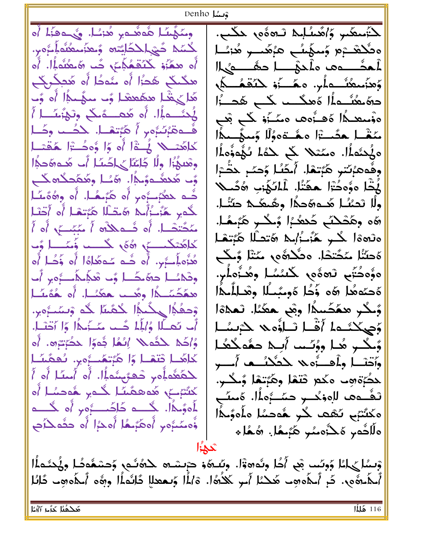ۋىسگە Denho وسَكْمِنَا هُوهُدو هُزَيَا. وَيُحوذَٰذَ أَو لْتَبْسِعُسِ وُاهُسُلِيمْ تَـ300 مِكْتبٍ. لْكْسَّكَ ضَهْلِكْخَايَّتْهِ ۖ وُعِدَّمِعَةُدَمَّامُ مِّهِمِ. ەڭلاشتېم ۇسۇسى ھۇھُىسىر ھُزئسا أُه همَّزَو كَنَقْمُكَمِنَ مَّ هَعْشُمَلًا. أَه مكْنَكُمْ هَدَٰا أَهْ مُنْقَدًا أَهْ مَُدِكْرِكُمْ ۇھۇمھ*ۇش*ــەلمَر. ەھَـــۇو ئىكقىقــىگې هَا ﴾ هَٰذَا هِهُعَهُمْا وُبِ سَهْيَنَهُۥ أَوْ وَب دەَ ھُنْـــەلُمْ أەھكـــــە گــــــ وَ مُـــــــوْا يُحبَّــولَمَا. أَو هُـمـــوَـمَــحٌ وتَوْنَسَـــا أَ ەزْمىھىدا ەَھىزُەھە ەم*ىل*زۇ كىي شىي<br>مەشىل ھۇسىزا ەھْسەەۋال وَمىۇسىدال فُءةَبُنَبُومِ أَ هَبْتِمْـا. حَضُــٰ وضَـا كَلّْعُسْمًا يُـٰٓةًا أَه وَا وُهدُــٰٓٓ;ا هَقْسًـا هِ أَحْثَمَاًا. مِمْتَدًا كُمْ لَكُمْ نُؤْمَةُ أَ وهْدِيُّ;ْا وِلْا جَاعَنَا حَكْدَنَا أَبْ هَـٰدِهَجْدَا وِقُومِرْتَنِي هَزَتِهَا. أَحَطُّا وَحِسْرِ حَذْءِا وًب مَحْشَــوَبْ\$ا. 5َسْـا وِمَحَمَّحْدُه كَبِ لْمَثْلُ دَوْدَتْوَا حَقَتُلْ. لْمُلَكِّنَ هُكُـــلا كُـه حَقَّيْــرُومِ أَو هَزُــهُــا. أَو وَوَٰقَـنَـٰا ولُا تَعِبُدا هُــوهَٰحِدًا وهُـعَــدُ حَنَّـٰا. ݣُوبِ هَزْــزُٱۡـد هَـنّـلَا هَبّتهَـا أُو ٱتّْنَـل 6ه وهَٰڪُلُّے ڪَنھُـُ؛ وُعُـُــرِ هَٰٓبُــهُـا. مَحَّتَّكَ أَو فُـوجَلَاهِ أَ مَبْصَبَ أَو أَ وتوەا كىر مەنىزلىد ھىتىلا ھەتھا كَاهُتْكَسِّعْ، هُوَ، ݣَـــب وُسِّــا وُب ەَحتَنَّا مَحَّتْحَا. ەڭلاھُەر مَتْلَ وُكِّي هُذُه أَسْبَٰرٍ. أَو شُم صُوهًاهُ! أَو ذَكَٰا أَو ەۋەكتُى تەۋەر كىنىئىا وھُـنُەلُر. وثَمْنُــا حَمَّـئَــا وُبِّ ثَدِيْمَةًـــرُهِ أَب كَحَمَّعُط هُو وُّحُل كَومِبُّساً وِهْلِلَّكِلَّا هِمَّحَمَّــدا وهُــب هِعَنْــا. أَو هُوَّيْنَــا وُمكْرِ هِمُكَسِدًا وِبْعِ حِكْنًا. تَعِدْةَا وْحِفُكُمْا بِكُنْكُمْا لَكُمْنَا كُمْ وْسَنْتَوْمِهِ. أَبِ بَعِيلًا وُإِيًّا حُبٍّ سَيَبْدًا وَا آتَيْنَا. وَحِيكْسُما أَقْسا تَسَاؤُهِ بِدَيْسَاتِ وُاكُمْ حَثَّمَكَ إِنَّمَا فُوَا حَكَبْتِرَه. أَه وًىكْــرِ هُــا ووُنّــت أَبـــا حـفُوحُكْـا كَلِّهُــا قَتَمْــا وَا هُبْتُمُـــزُورِ. تُعَمَّنُـا وَاْحْتَسَا وِلْمَسْنُوهِ لِلْحَكْنُسُ أُمِسِ لْلْكَعْدَاءُم وَحْدَى مُدَاًّا. أَن أَمثَا أَن أَ حكَّةهوب وكمع قتمًا وهَبَّتمْا وُحكَّب كَتَبْتِيَ هُدهِهَمَا كُدِرٍ هُدَمَا أَه تَفْــوها الووْكْـــو حسَّــرُّوماًا. وَسَنّـع لَمَامَوُنِكُمُّا. يُحْسَبُ كَاكُنْتَ وَمِنْ أَنْ يَحْسَبُ ەڭئتې ئۇھە لگو ھُەھسُل ەلمُەۋىمُا وُّەمَئىرُەم أُەھَرُى**مُ**ا أُەخرُا أَە حَثَّەخَلَّاص ەلگۇمو كەلۋەمئو ھۇمگا. ھگاھ تحجنوا وْسِمُا كِلْمًا وُوِسَّى بِمَعْ أَحَا وِثُوهِوْا. وِسَكْوَ حَرْسَتُهِ كَلَّهُ مَنْ وَحَسْفُوحًا وِكُحْدَاً أَحْكُمْوَهِ. ثَمِ أَحْكُوهِب هَٰكُمًا أَمِرٍ لَكُمُوا. وْݣَالُ وَبِعْعِلِلْ ثَالُهُ لَمْ أَوْقُو أَحْكُوهِب د مَحْدَفُنَا حَزَّمَ ٱلْأَمَّا  $\frac{1}{2}$  فَالْمَا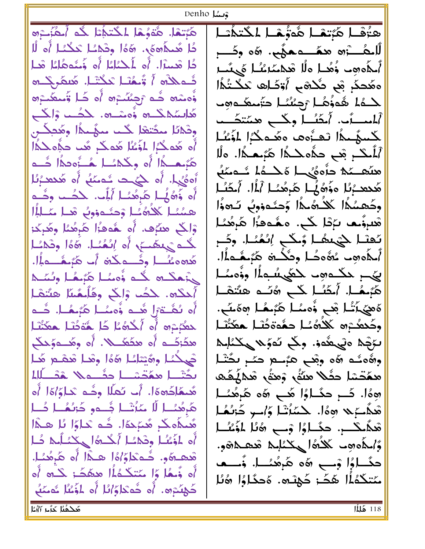مَحْدُفُنَا حَزَّىرِ ٱلْأَمَّا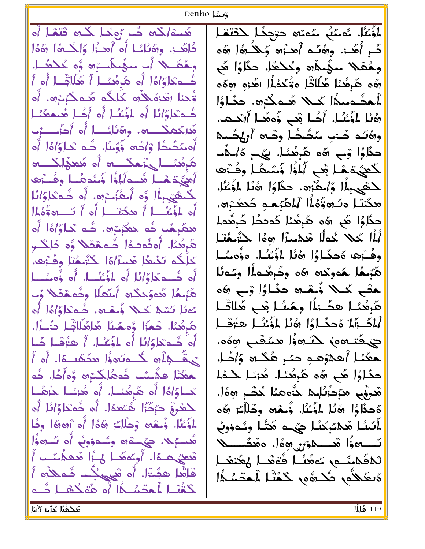Denho قىسلا هُسة/كُلُّه مُبَّ رُوحُنَا لَكُلُّهُ ثَنْقَنَا أُو لمُؤْمُّلُا. شَمْمُّلُ مَدْدُه حرْجِحُـل حَدَّتْهَـل حُلِّهُــز. وهَيْلَيْل أَو أَهْــزُل وَالْحُــرَهُ! هَوَا كَمِ أُهَٰذٍ. وِهُنَه أَهِنْزَهِ وَلِلْكُمُّا هَء وهُكَـــلا أَب سهُبدَّاــــْرَه وُه خُلاَعُــا. وِهُقَلا سِهُبِدْهِ وِحُلِّعُا. حَذَّاوُا هُم كُــوْدَارُاهُا أَو هُرِمُنْــا أَ مَكَلاتْــا أَو أَ هُه هُرِهُمُا هَٰلَاتُا وَتُكُفُلُا آهَٰذٍ هِهَ تُبِينَا اهْزَهُ لِللَّهِ كَالِكُمْ هُدْكُرْءَ هِ. أَهْ أَحدُّےمبدًا كَنْدْ هُنْدَكْرُه. حَكَاوُا كَــوبْدَارُانُا أَو لمَوْعُـُـا أَو أَكُــا مُحمِّدُــا هُنُا لمُؤَعْبُا. أَحُـا بْعب وُهمُـا أَآتَــع. هُدِكُمِكْمِ وَالْمُسْلُمُ أَمْ أُجِّنِ وَالْمُسْتَرَبَّ وهُنّه ثَــٰٓب مَنۡصُدًا وَتَـٰه أَرۡلِحُــٰدَ أُهْمَكُنْدًا وْاْدْهْ وْوُسُلْ. شُمْ تْبَارُاهُ! أُهْ حَدَّاوُا وَبِ 6َه هَٰٓبِعُنَـا. بَهْجِ هَامِّفُ هَ بِمُعْتَمَلِ الْمَسْكَمِينَ الْمُسْتَمَارِينَ مِنْ الْمَسْتَمْسِينَ مِنْ الْمَسْتَمْسِينَ مِنْ لَكْعَيْهَمْا بْمِي أَمْلُوا وَُسُمَا وِقُرْمَه أُهْيَ وَهَـــا هُـــواً لِمَوْا وَمُدَهمُــا وِهُـــْرَه لِحْشِي إِلَّا وُمُحَدَّدِهِ. حَذَاوُا هُ لَا لَمَحْتَلَا. لْكُنْشِّي إِلَّا وُهِ أَنْجُدُونَ أَو ذُورَاوَانًا هكَتْنْدَا هَدُهَ وَّهُمُّا ٱلْمَكْرُهُمِ كَحْمُدْرُهِ. أَه لمُؤْسُلِ أَ هِجَنْبَ لِ أَه أَ يَ هُ وَذَا حذَّاوُا هُي هُو هُرِهُمْا كُودِهُا كُرِهُوما محكَرِهُما هُم حَمْدَتِرْهِ. هُـم تَحَاوَاهُ! أَه أَلَمَا حَمَلا حُداً مُحْمِينًا هِءًا حَتَّمِعْتَا هَرِهُمُا. أُهفُوصُهُ أَحْمَعْهُمْ وُهِ قَالِحُب وفُــْزَه هَحكَـاوُا هُلُا لمُؤْسُّـا. وذُهِسُــا كَلِّكُم تَكْبِعُل مْسْآرَاهَ! كَتَّبِـهُنَا وِهُـْتِك. هَّبُعُلْ هُدوِيْدِهِ هُوَ وِجُرِهْبِدَاْلِ وِجُدَنَا أُه شَــودْارُانُا أُه اذَنْـُـا. أُه ذُومُــا هتْبِ كَــلا فُـهْــ30 حَفَّـاؤًا وْبِ ۞ه هَّبُـهُا هُدَرِّحْكُلُّه أَسْكَلًا وَخُدَهْقَلًا وُب هَرِهُمُـا هِحَـٰ;1أ وهَسُـا هِـى هَلاَتْـا عَائِلِ نَسْمٍ جَبِيلا فُهُوهِ. شُوعَاوَاهُ! أَو ٱلمَنْـزَلَمْ هَحكُـاوُا هُلَا لِمَّيْـَا هِزُهْـا هَرمُدُا. شَعَزَا وُمَعَينًا مَجَاهَلَاتِيا جَزَيْرًا. حهَ الله عليه المُحَمَّدُ ( معتفَّر ). أَهَ شَـهِ ْدَاوُاْنُا أَه لِأَوْسُـٰا. أَ هِتُوْسَا ضَـٰا يْ قَدْمِلُه كَسْمَرُهُ وَالْمَحْمَدِ وَالْمَسْمَاءِ فَيْ حَمَّنُا أَهِجْوَهِم حَبْ هُكْلُهِ وَٱكْلَ هَمَّنْا هِمُسَّب خُومُاكْتِرُه وُوَأَجَل خُو حِدَّاوُا هُـبِ هَ٥ هَرِهُنـًا. هُـزَنُـل لَــدُـهُـل تْحَاوَٰاٰہٗا اُو ھَٰرِھُنُّا. اُو ھُزنُّا جُزْھُـا هْدِفْ هرْجُرُّلُلِهُ هُرُّەهمُا هُشَّ رُوهُا. لِكَعْنِوْ حَبِّضًا هُمُعَدًا. أَو خُوثَداوَانُا أَو هَحكَّاوُا هُنَا لمَؤَعْلًا. ؤُحقه وحَلَّاعٌ: هَ٥ لْمُنْنُا. مُنْقُرُه وْحَلْكُ 66 أَهْ أَرْهَا فِجْل لَمُنُـل هَـٰهُـٰدِـُدُـل كَيْــه هَٰنُـل وِشُـهوْوِبُ هُمـــَزِيد. ۞ هُم وشــُـدوبُن أو سَــدووُّا هُعيْهِمَا. أُوسُعَما لِهُ: هُدَا شَدْمُ اللَّهُ أَ تكفكل لمعقف لمنمضه بصنهكفكا قَاشًا هِجُنْزَا. أَه مْحِرِيكُب شُملاً هُ أَ ەتكىلاھ دېگىۋە كەشل مەتتىگا كَقُبْهِ أَحْضَيْجًا أَن هُوَجْهَهِ أَصْحَ

مَحْدُمُا حَرَّىرِ ٱلْأَمَّا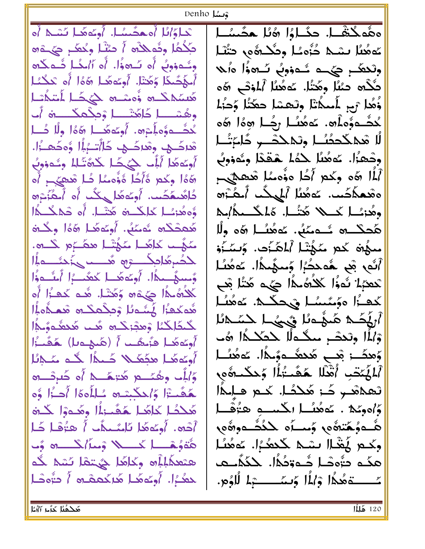Denho فلسكا تْبَاوَٰانُا أُوهِمْنُسَا. أُوهُوَيَا تَسْبِرُ أُو ەھْمكْتْھَــا. حَـنَّــاوُا ھُنُا ھَـصُـنُـــا صَحْعًا وضَمحْلُوه أَ مِثْلًا وحُمَدٍ حَيْدُهِ عَمْعُلُا بِشَكِّ خُزْهِ صُلَّى وَهُكْدِهُ مِنْ مَنْتَبَلَّ وشَوْوِبُ أَو سُووُل أَو ٱالْحُبا شُوكُلُو وتَكْتَبَ تَهْبُ شَدَوْوِبُ سُلْدَوْا دَاْبِلا ٱٰٓٮؼۡڞؘۘڬٳ؋ڡؘڎؾٳ؞۩ٞۅڝڡؘػٵ؋ۿٵ۩۠ٞۄۦؿٮػ۠ؽٵ حَكْمَ حنْنُا ومَحْنُا. عَممُنا ٱلمزفَى هَء كْتِسْكَدْكُمْ وْمَسْدَهْ لْكَيْضًا لْمُتَكْتِبَا ذُهُا رَبِّ أَسكُتْا وتَعْشَا حَعَنُا وَدْنَا وهُسْكُ كَامَنْتْكُ وَحِكْمِكُ \_ فَ أَبّ لَحْشُـووُهِ10. غَمْعُنُـا رَجُـا ھِوُا ھَو حُدُّــووُولُمْ10. أُوجُوهَــا 50\$ ولًا دُــا لُا مْدْكُحِثْسًا وتْدْكْسْبْ خُلْبَتْسًا. هْدِكُــنِي وهْدِكَــنِي كَلِّأَتَــبُذًا وُهكُـهــزًا. ودْهِزًا. عَمْعُلُل حَدًا. هَقْحْلُ وشُوْوِبُ أُوعَهَ مَا أَبَلَ حَيْجًا خَذَتَا ا وَحُدوبُ ٱلمَّا ۞ه وكم ٱكْل هؤْهمْا هُمْعَيْمِ هَٰهُا وِكُمْ ةُأُهُا ةُؤُمِنُا ئُـا مُعْيَىٰ أُه ەقىمكەكسى. كەھُلا كْمَلْمْكْس كَىمْتْرە دُامُعَهُّمًا. أَوْمُوهُا إِيكَ أَوْ أَعْتَبُوهِ وُهِ هُذَا كَلِكُ هُ هَٰتَا. أَو حُمْكُ هُا وهُنْسًا كَمِلًا هَتُما. هَا كَمَلْهُمْ لِهِ هُعطْكُلُّه شَمَعُهُ. أُوصُوَّط 66 وحُلُّف كَحكْـــرە شَـــومَنْبُ. مُوهُنُـــا رَهُو وِلَا سَمِّب كَاهُمَا سَجُنْمًا مِكْسَرِم كَلِّيهِ. سَمُّةَ كَمَّ سَّهُتَا ٱلْمَذَّف. وَسَنَّوَ المصنعين مستوج مست المستمر أَلُّهِ ۚ بَعْيَ ـ هُـُمَـٰدَّةُ | وَٰمِـدَهُمْ اُ. ۖ مَـٰهُمُـٰ ا وُحِسِنُ حَمَّا. أَوْجُوهُمَا خَعَّمَا إِلَيْهِ وَا تَحْمَدُ 1 نُدُوًا لَلْأَهُ جَالًا حَيْجِمٍ هَٰنَنَا هُبِ لْمَدْهُدُا دَيْءَه وَهَتْدا. شُـه لَحْفَزًا أَه لَّكْتُمْ مَكْتَبِهِ الْمُسْمَوِّهِ الْمُعَدَّ هُدَدُوُا لَمُسْدِئًا وْمِلْعَكْلِهِ مْعَـٰدُهِ لَّهُ أَرْيُحَـٰهُ مَـٰهُـِمَـٰنَا فَيُحِيَّـا لِـٰـُـمَـٰدُنَا كْتَخَاجْبًا وْمَجْزَجْدِهِ مُحْبَ مُحَمَّدَوُنِكَمْ ا وْاٰماْ! وتَحْشَرِ مِىكُـٰهِ الْاَحْكَـٰٰهَا! ۞ت أُوعُوهُما فَزَنفُتَ أَنْ (هُنهِدَنَا) هَقَبْرًا وَهدًا: هَبِ هَدهُـــهوَبدُا. عَهمُنَــا أُوحُوهُما مِجَعَمِلا حَسِمًا لَحُث سَجِئًا ٱلْمُكْتَبِ ٱقْتُلَا هَقَىـتُٰٓاً وَحِكْــةُ مِ وَإِلَىٰ وَهُمَّـــمْ هُـٰتِهَــدُ أَو جُبِرْتَـــمِ تَعَمَّقَتِ خَةٍ هَكْخَا. كَتَمْ قَالِمًا هَقَسْرًا وَاحكَمْتُمْ سُلْلُوهَا أَصَرًّا وُو وُ/ووكم: كَمَعْنُــا الْكَســوِ هَـٰٓوْقَــا هَٰكَكُلُّ كَاهَٰدًا هَفَسَنَدًٰا وَهُدَوْا كَنْهَ هُــوُهُنَةُو وَســرَه ۖ لِكُشُــوقُومِ أَدْهِ. أُويُوهُا تَاسُبِيهُ أَ هِزُقَا جَا هُقْوُهْكَ كَمِنْكُمْ وْسَلَّاكُمْ وَمُسْتَرَاتِكُمْ وَمَا وكُنْ لَمِثْنَالَ بِشَبْهِ كَحْمَدُا. جَوْمُبَارِ هَدُهِ حَتَّوَجْهِ (حُدَوْدُهُ). لِكَذَّبَيْهِ هتعكِّلِلَّه وكلِّعًا حَيْتِهَا تَسْمَ كُم حَقَّةً إِ. أَوْسَقَطْ هَٰلِكُمْهُـ ۞ أَ حَتَّوَهْـ لَ يَّــــتَمَعُدًا وَٱلْمَالِ وَسَيَّـــــــمَّا لُّاوُم.

مَحْدُمُا حَرَّىرِ ٱلْأَمَّا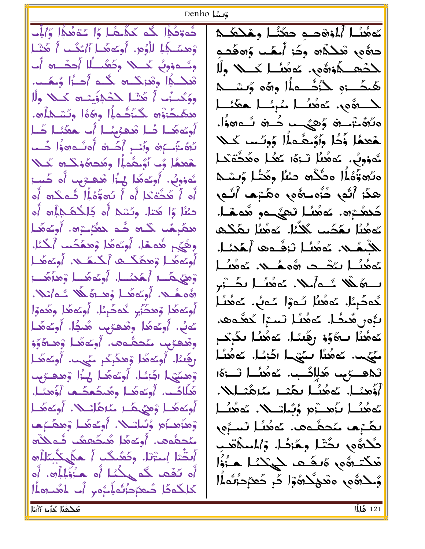Denho فلسكا خُووَدُمُ! لَكُم حُكْمَدُ أَوَّا حَدَمُدُوا وَ*ا*لَمُت غَمَعْنَـا ٱلمزشحــهِ حعَنْـا وهَـحْعَــهُ وْهِيَنَّكُمْ لِلْوُيْ. أُويُوهَكُمْ أَيْتُحْبَ أَيْ هَيْسًا حَدُّه، مَكَلُّاه وَحَٰ; أَحفُ وَهَقَعَهِ وشَــدووبُ كَــــلا وتَعَنَــــلَا أَحتَـــده أَب لْحُدْهِكُمْوْرُومْ، مُوهُسُّل كُـــلا وِلَٰل تَعْكِبُوا وَتَعْزَكُ مِهْ كُمْ أَصَنَّوا وُحَصَّى. هَيضُــزه ۖ دُنُفُــهِ أَل وهُه وَيسْــد وَوَكَسَنُكَ أَ هَٰتَنَا كَذَٰهِ وَيُسْدِهِ كَمِلًا وَلَٰا للسوةُ مِ. مُوهُنُسا مُبِسَّا هِعَنْسا هِهَيجَرْوْهِ لَكُنُزَهُمْ إِلَّا وَهَٰهُ الْمُتَبَالِمَاتُو. ەئەھْتوسە ۇھىسى ئىبە ئىمەۋا. أُوحَدَهُـا دُـا هُدْءُبُـا أَبِ حَهَّنَا دَّـا هْعَمُا ذُكُرا وَأَوْحَقُـٰهِ أَلَّا وَوِئَـٰتَ كَـٰلًا تَهُ تَزْتَهُ وَرَبَّ أَكَّــهَ أُوتُــوهُوَ كَــب خُووبُ. عَەهُنُا نَـزِهَ: عَعُـا مِعَدُّـٰة عَـا هَعِمًا وُبِ أَوُحِقُولًا وِهُدِهُوَكُو كَتَلَا ەئەۋەلما ەڭگە ئىلا وكتىل ۇنىشى يُّەوْوِبُ. أُويُەهُدا لِيُزَا هُدىتوْبِت أُه كُسْرَ أُه أَ هَخُفْتَدَا أُه أَ نَهَ وَّهُلًا ۖ شَمِكْهِ أُه هِكَ; أَلَيْهِ حُزُّهِ حَقُّومٍ وهُبْهِم أَلَيْمِهِ حنُنُا وَا هَٰتِنا. وِنَسْمَ أَه جَاجْجَمْبِهِ أَه كَحْمَٰتِرْ». مُهَمَّىُـا نَعَيُّــو هُوهَـا. معكَرِهُما كَلُّهُ هُـمْ لِعَقَّرْتِهُمْ. أُوسِّهِ كَلَّ عَەمُثا بِمُكَبِّبٍ كَلَّيْا. عَوْمُثَا بِمَكَلِّهِ وهُيٍّ هُدهَا. أُويِّدهَا وْهِعَجَبٍ أَيْكِيًا. لِلْبُعُبِينِ. يُوهُنُبِل نَزِفُوها أَجُدْبَار. أُوعَمَعُه وَمَعَكَلِهِ أَنْكُنَّفُ أَوْعَمَهَا أَلَّا وَعَمَدَ كَمْمُنْسَا بِكَشْبِ رَوْهِ هُسْلًا. كَوْمُنْسَار وْهِيْهُمَا أَهْدُمُا. أُوهُوَهُما وْهِزّْهُمْ: ىدۇلگا ئىم، كە ئەھئىل ىكى تېر رُهُ مِمُحلا. أُوسُوَمُحا وَهِدْهُ لَلَّهُ شَمَّ إِنَّهُ . كُدكَرِمُا. مُدَهُمُا نَدوْا مُدبُ. مُدهُمُا أُوعُوهُا وْهِكْبُرٍ خُوصُرْا. أُوعُوهُا وهُووْا ىؤەر ھُىڪًا. كەھُلُّا تىپ گھگەھ. عَّهُ. أُوعُوهُا وقَدْفَهُبْ هُدَدًا. أُوعُوهُـا غَمْعُمُا بِيهَوَوْ رِجِّيْئَا. عَمْعُبُا بِكَرْجَبِ وڤدهوِّب مَنْحَقَّدَه. أُوتُوهُما وْهَدْهُوُوْ مَّيْبٍ. مَعْمُلُمْ سَيِّيْ ادْنِسْا. مَعْمُلُمْ رِهَٰىْنَا. أُوحُمَكَا وْهَكْرِكْمْ مِّيْسَا. أُوحُمَكْنَا تْݣُوسِمِّيب هَٰلِلْكَـبِ. كَەهُنْسَا نْــزَهْ! وْهِيِّهَا آَجَّتُـا. أُوعُوهُـا لِــُزَا وْهِدِعَهِب أُؤْهِنُا. عَاهُنُا بِمَيْتِ مَاهَْتِاهِ. هَٰلَائَـب. أُوعُوهَــا وهُنجَـعَجَــعا أُؤْهِنُــا. أُوحُوهُما وْهِجْهِهَا سَاهَٰاتِ لَا. أُوحُوهُما مُعهُنُا بَرْهِــرْمِ وُبُـابْـــلا. مُعهُنُــا وْهِزُهِدْزُهِ وُتُبَاتِيهِ. أُوعُهُمَا وْهِكْتُهَا بِمَّتِهَا مُحَقَّدَهَا. مُأْشَا تَسْرُهِ سُحقُوم. أُوسُعَدَ مُسَحَّمِعُب شَمِيلَةِ ۖ كُلُّهُٯ لكُتْلِ وهُرْكُلْ. وْالمعدَّقْب أَبِّدَا إِسْتَرْلَا. وَكَعَّدَكُتْ أَرْجَعَهُمْ كَيْتَعَالَمُ وَ هَكَّتْـرَهُ مِ هَرَضُـصَـ حَيْكَـُـلَ هـزُوُّا أَه تَقْفَ جُمْ رَجْبًا أَهْ هُزُوَٰٓإِلَهُمْ. أَهْ وَّىكِدُّە، ەقْدِيْكُدُوْا كُر كُعْرُجُزْنُمْلَا كَالْكُمْكَا شُعْبُمْتُوَبُّدُومِ أَبِ لَمُحْتَمِمُو

مَحْدُمُا حَرَّىرِ ٱلْمَا